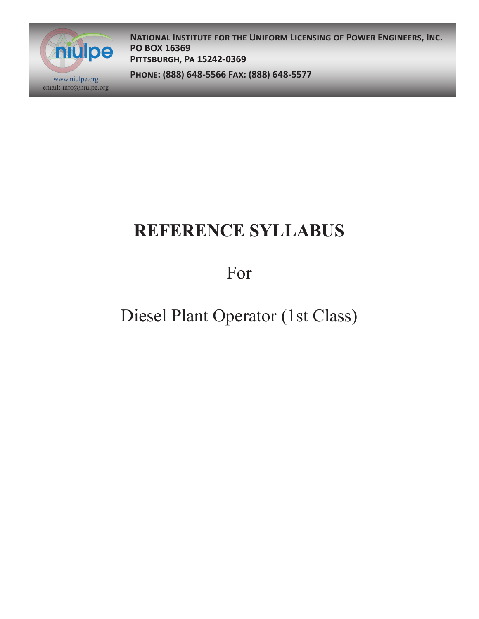

**National Institute for the Uniform Licensing of Power Engineers, Inc. PO BOX 16369 Pittsburgh, Pa 15242-0369**

**Phone: (888) 648-5566 Fax: (888) 648-5577** www.niulpe.org

# **REFERENCE SYLLABUS**

For

## Diesel Plant Operator (1st Class)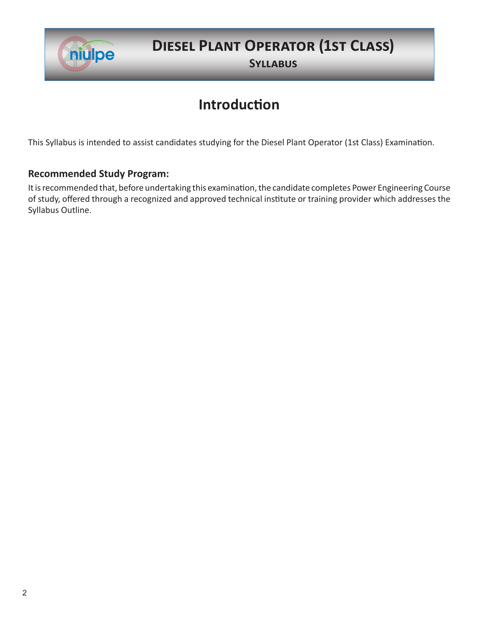

#### **Diesel Plant Operator (1st Class)**

**Syllabus**

#### **Introduction**

This Syllabus is intended to assist candidates studying for the Diesel Plant Operator (1st Class) Examination.

#### **Recommended Study Program:**

It is recommended that, before undertaking this examination, the candidate completes Power Engineering Course of study, offered through a recognized and approved technical institute or training provider which addresses the Syllabus Outline.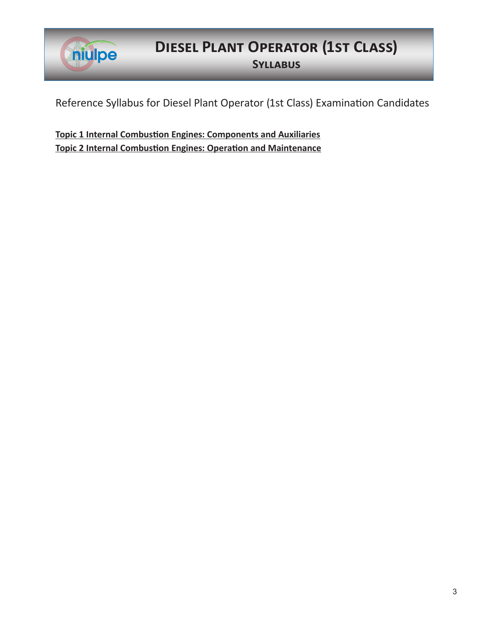

#### **Diesel Plant Operator (1st Class) Syllabus**

Reference Syllabus for Diesel Plant Operator (1st Class) Examination Candidates

**Topic 1 Internal Combustion Engines: Components and Auxiliaries Topic 2 Internal Combustion Engines: Operation and Maintenance**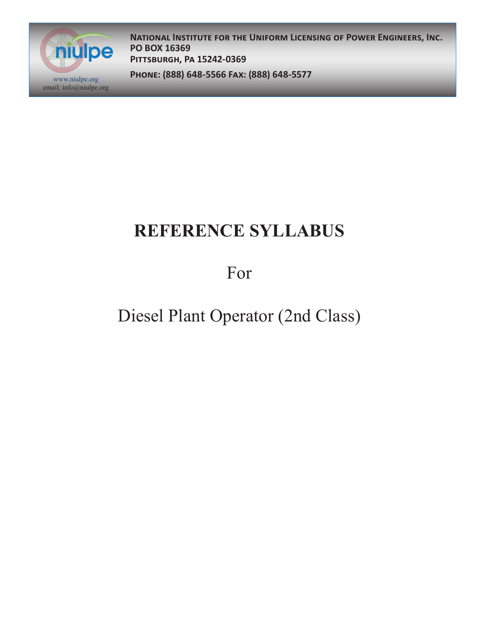

**National Institute for the Uniform Licensing of Power Engineers, Inc. PO BOX 16369 Pittsburgh, Pa 15242-0369**

**Phone: (888) 648-5566 Fax: (888) 648-5577** www.niulpe.org

# **REFERENCE SYLLABUS**

For

## Diesel Plant Operator (2nd Class)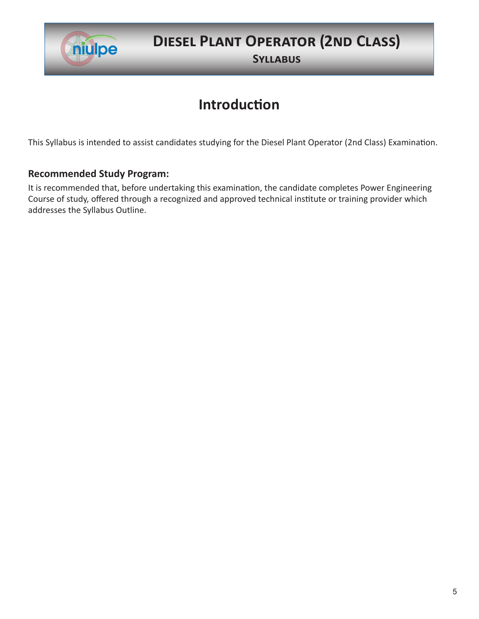

### **Diesel Plant Operator (2nd Class)**

**Syllabus**

#### **Introduction**

This Syllabus is intended to assist candidates studying for the Diesel Plant Operator (2nd Class) Examination.

#### **Recommended Study Program:**

It is recommended that, before undertaking this examination, the candidate completes Power Engineering Course of study, offered through a recognized and approved technical institute or training provider which addresses the Syllabus Outline.